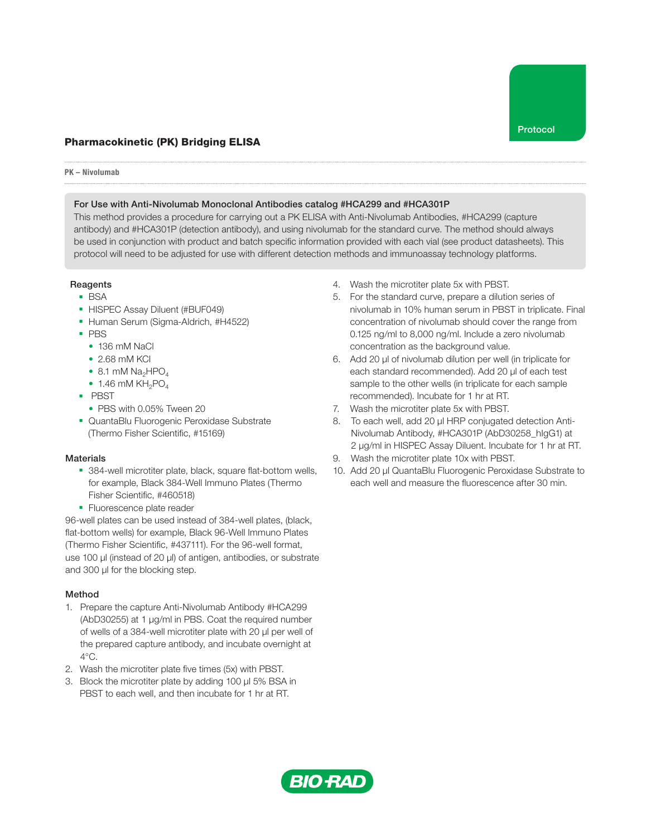# Pharmacokinetic (PK) Bridging ELISA

#### PK – Nivolumab

### For Use with Anti-Nivolumab Monoclonal Antibodies catalog #HCA299 and #HCA301P

This method provides a procedure for carrying out a PK ELISA with Anti-Nivolumab Antibodies, #HCA299 (capture antibody) and #HCA301P (detection antibody), and using nivolumab for the standard curve. The method should always be used in conjunction with product and batch specific information provided with each vial (see product datasheets). This protocol will need to be adjusted for use with different detection methods and immunoassay technology platforms.

## Reagents

- BSA
- HISPEC Assay Diluent (#BUF049)
- Human Serum (Sigma-Aldrich, #H4522)
- PBS
	- 136 mM NaCl
	- 2.68 mM KCl
	- $\bullet$  8.1 mM Na<sub>2</sub>HPO<sub>4</sub>
	- $\bullet$  1.46 mM KH<sub>2</sub>PO<sub>4</sub>
- PBST
	- PBS with 0.05% Tween 20
- QuantaBlu Fluorogenic Peroxidase Substrate (Thermo Fisher Scientific, #15169)

#### **Materials**

- 384-well microtiter plate, black, square flat-bottom wells, for example, Black 384-Well Immuno Plates (Thermo Fisher Scientific, #460518)
- Fluorescence plate reader

96-well plates can be used instead of 384-well plates, (black, flat-bottom wells) for example, Black 96-Well Immuno Plates (Thermo Fisher Scientific, #437111). For the 96-well format, use 100 μl (instead of 20 μl) of antigen, antibodies, or substrate and 300 μl for the blocking step.

## Method

- 1. Prepare the capture Anti-Nivolumab Antibody #HCA299 (AbD30255) at 1 µg/ml in PBS. Coat the required number of wells of a 384-well microtiter plate with 20 µl per well of the prepared capture antibody, and incubate overnight at 4°C.
- 2. Wash the microtiter plate five times (5x) with PBST.
- 3. Block the microtiter plate by adding 100 µl 5% BSA in PBST to each well, and then incubate for 1 hr at RT.
- 4. Wash the microtiter plate 5x with PBST.
- 5. For the standard curve, prepare a dilution series of nivolumab in 10% human serum in PBST in triplicate. Final concentration of nivolumab should cover the range from 0.125 ng/ml to 8,000 ng/ml. Include a zero nivolumab concentration as the background value.
- 6. Add 20 µl of nivolumab dilution per well (in triplicate for each standard recommended). Add 20 µl of each test sample to the other wells (in triplicate for each sample recommended). Incubate for 1 hr at RT.
- 7. Wash the microtiter plate 5x with PBST.
- 8. To each well, add 20 µl HRP conjugated detection Anti-Nivolumab Antibody, #HCA301P (AbD30258\_hIgG1) at 2 µg/ml in HISPEC Assay Diluent. Incubate for 1 hr at RT.
- 9. Wash the microtiter plate 10x with PBST.
- 10. Add 20 µl QuantaBlu Fluorogenic Peroxidase Substrate to each well and measure the fluorescence after 30 min.